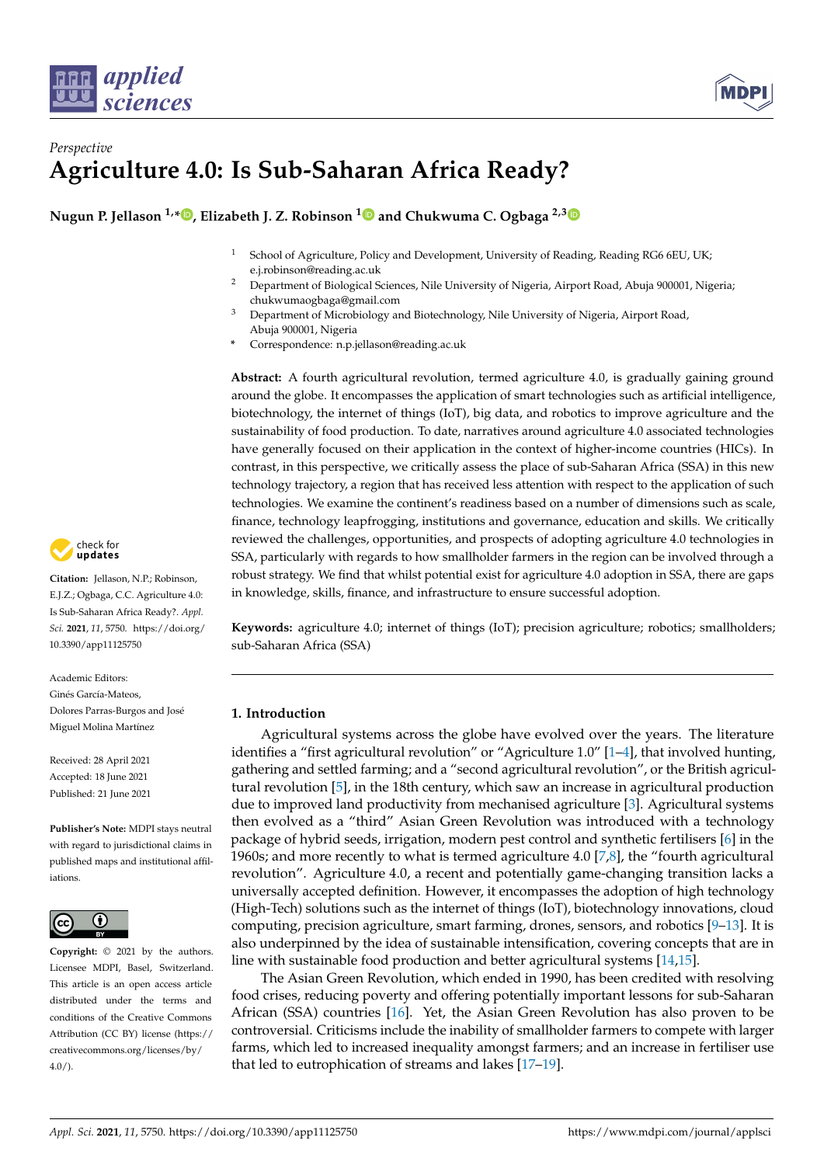



# *Perspective* **Agriculture 4.0: Is Sub-Saharan Africa Ready?**

**Nugun P. Jellason 1,[\\*](https://orcid.org/0000-0002-5583-354X) , Elizabeth J. Z. Robinson [1](https://orcid.org/0000-0002-4950-0183) and Chukwuma C. Ogbaga 2,[3](https://orcid.org/0000-0003-4951-2253)**

- <sup>1</sup> School of Agriculture, Policy and Development, University of Reading, Reading RG6 6EU, UK; e.j.robinson@reading.ac.uk
- <sup>2</sup> Department of Biological Sciences, Nile University of Nigeria, Airport Road, Abuja 900001, Nigeria; chukwumaogbaga@gmail.com
- <sup>3</sup> Department of Microbiology and Biotechnology, Nile University of Nigeria, Airport Road, Abuja 900001, Nigeria
- **\*** Correspondence: n.p.jellason@reading.ac.uk

**Abstract:** A fourth agricultural revolution, termed agriculture 4.0, is gradually gaining ground around the globe. It encompasses the application of smart technologies such as artificial intelligence, biotechnology, the internet of things (IoT), big data, and robotics to improve agriculture and the sustainability of food production. To date, narratives around agriculture 4.0 associated technologies have generally focused on their application in the context of higher-income countries (HICs). In contrast, in this perspective, we critically assess the place of sub-Saharan Africa (SSA) in this new technology trajectory, a region that has received less attention with respect to the application of such technologies. We examine the continent's readiness based on a number of dimensions such as scale, finance, technology leapfrogging, institutions and governance, education and skills. We critically reviewed the challenges, opportunities, and prospects of adopting agriculture 4.0 technologies in SSA, particularly with regards to how smallholder farmers in the region can be involved through a robust strategy. We find that whilst potential exist for agriculture 4.0 adoption in SSA, there are gaps in knowledge, skills, finance, and infrastructure to ensure successful adoption.

**Keywords:** agriculture 4.0; internet of things (IoT); precision agriculture; robotics; smallholders; sub-Saharan Africa (SSA)

# **1. Introduction**

Agricultural systems across the globe have evolved over the years. The literature identifies a "first agricultural revolution" or "Agriculture 1.0" [\[1–](#page-8-0)[4\]](#page-8-1), that involved hunting, gathering and settled farming; and a "second agricultural revolution", or the British agricultural revolution [\[5\]](#page-8-2), in the 18th century, which saw an increase in agricultural production due to improved land productivity from mechanised agriculture [\[3\]](#page-8-3). Agricultural systems then evolved as a "third" Asian Green Revolution was introduced with a technology package of hybrid seeds, irrigation, modern pest control and synthetic fertilisers [\[6\]](#page-8-4) in the 1960s; and more recently to what is termed agriculture 4.0 [\[7](#page-8-5)[,8\]](#page-8-6), the "fourth agricultural revolution". Agriculture 4.0, a recent and potentially game-changing transition lacks a universally accepted definition. However, it encompasses the adoption of high technology (High-Tech) solutions such as the internet of things (IoT), biotechnology innovations, cloud computing, precision agriculture, smart farming, drones, sensors, and robotics [\[9](#page-8-7)[–13\]](#page-8-8). It is also underpinned by the idea of sustainable intensification, covering concepts that are in line with sustainable food production and better agricultural systems [\[14,](#page-8-9)[15\]](#page-8-10).

The Asian Green Revolution, which ended in 1990, has been credited with resolving food crises, reducing poverty and offering potentially important lessons for sub-Saharan African (SSA) countries [\[16\]](#page-8-11). Yet, the Asian Green Revolution has also proven to be controversial. Criticisms include the inability of smallholder farmers to compete with larger farms, which led to increased inequality amongst farmers; and an increase in fertiliser use that led to eutrophication of streams and lakes [\[17–](#page-8-12)[19\]](#page-8-13).



**Citation:** Jellason, N.P.; Robinson, E.J.Z.; Ogbaga, C.C. Agriculture 4.0: Is Sub-Saharan Africa Ready?. *Appl. Sci.* **2021**, *11*, 5750. [https://doi.org/](https://doi.org/10.3390/app11125750) [10.3390/app11125750](https://doi.org/10.3390/app11125750)

Academic Editors: Ginés García-Mateos, Dolores Parras-Burgos and José Miguel Molina Martínez

Received: 28 April 2021 Accepted: 18 June 2021 Published: 21 June 2021

**Publisher's Note:** MDPI stays neutral with regard to jurisdictional claims in published maps and institutional affiliations.



**Copyright:** © 2021 by the authors. Licensee MDPI, Basel, Switzerland. This article is an open access article distributed under the terms and conditions of the Creative Commons Attribution (CC BY) license (https:/[/](https://creativecommons.org/licenses/by/4.0/) [creativecommons.org/licenses/by/](https://creativecommons.org/licenses/by/4.0/)  $4.0/$ ).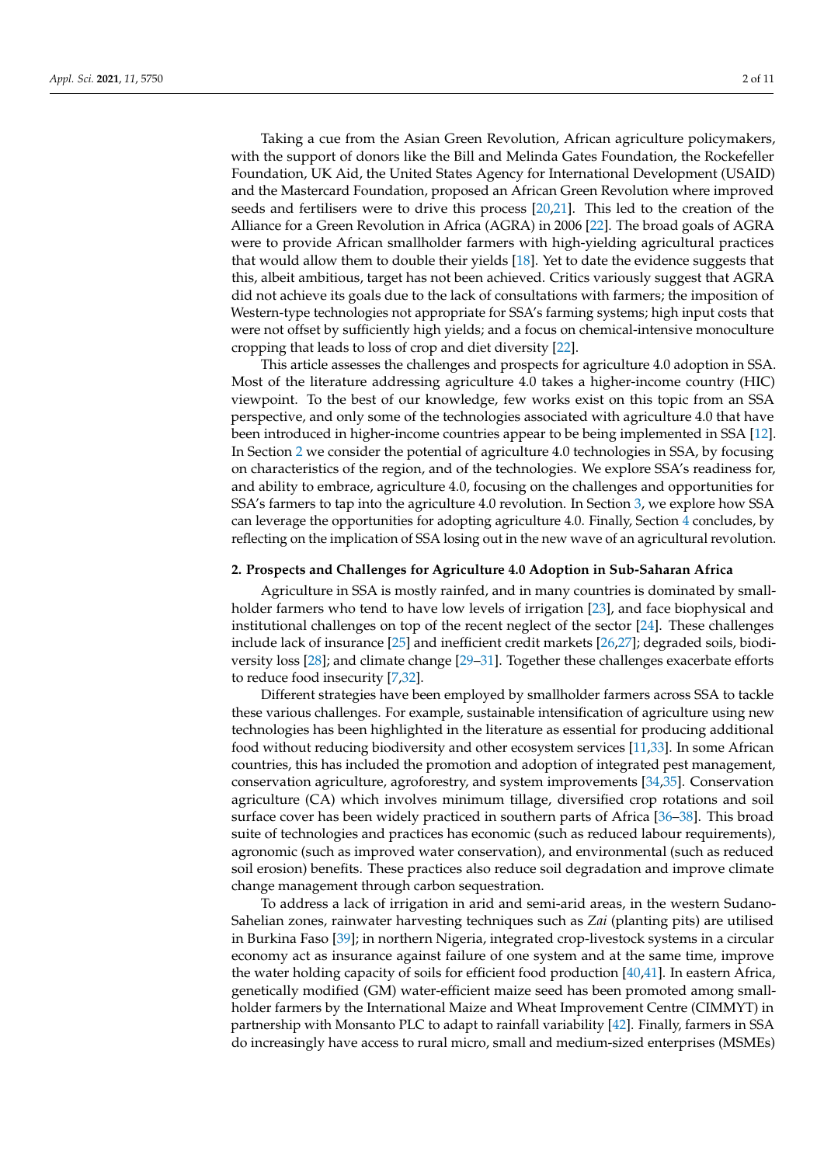Taking a cue from the Asian Green Revolution, African agriculture policymakers, with the support of donors like the Bill and Melinda Gates Foundation, the Rockefeller Foundation, UK Aid, the United States Agency for International Development (USAID) and the Mastercard Foundation, proposed an African Green Revolution where improved seeds and fertilisers were to drive this process [\[20,](#page-8-14)[21\]](#page-8-15). This led to the creation of the Alliance for a Green Revolution in Africa (AGRA) in 2006 [\[22\]](#page-8-16). The broad goals of AGRA were to provide African smallholder farmers with high-yielding agricultural practices that would allow them to double their yields [\[18\]](#page-8-17). Yet to date the evidence suggests that this, albeit ambitious, target has not been achieved. Critics variously suggest that AGRA did not achieve its goals due to the lack of consultations with farmers; the imposition of Western-type technologies not appropriate for SSA's farming systems; high input costs that were not offset by sufficiently high yields; and a focus on chemical-intensive monoculture cropping that leads to loss of crop and diet diversity [\[22\]](#page-8-16).

This article assesses the challenges and prospects for agriculture 4.0 adoption in SSA. Most of the literature addressing agriculture 4.0 takes a higher-income country (HIC) viewpoint. To the best of our knowledge, few works exist on this topic from an SSA perspective, and only some of the technologies associated with agriculture 4.0 that have been introduced in higher-income countries appear to be being implemented in SSA [\[12\]](#page-8-18). In Section [2](#page-1-0) we consider the potential of agriculture 4.0 technologies in SSA, by focusing on characteristics of the region, and of the technologies. We explore SSA's readiness for, and ability to embrace, agriculture 4.0, focusing on the challenges and opportunities for SSA's farmers to tap into the agriculture 4.0 revolution. In Section [3,](#page-5-0) we explore how SSA can leverage the opportunities for adopting agriculture 4.0. Finally, Section [4](#page-7-0) concludes, by reflecting on the implication of SSA losing out in the new wave of an agricultural revolution.

#### <span id="page-1-0"></span>**2. Prospects and Challenges for Agriculture 4.0 Adoption in Sub-Saharan Africa**

Agriculture in SSA is mostly rainfed, and in many countries is dominated by smallholder farmers who tend to have low levels of irrigation [\[23\]](#page-8-19), and face biophysical and institutional challenges on top of the recent neglect of the sector [\[24\]](#page-8-20). These challenges include lack of insurance [\[25\]](#page-9-0) and inefficient credit markets [\[26,](#page-9-1)[27\]](#page-9-2); degraded soils, biodiversity loss [\[28\]](#page-9-3); and climate change [\[29](#page-9-4)[–31\]](#page-9-5). Together these challenges exacerbate efforts to reduce food insecurity [\[7,](#page-8-5)[32\]](#page-9-6).

Different strategies have been employed by smallholder farmers across SSA to tackle these various challenges. For example, sustainable intensification of agriculture using new technologies has been highlighted in the literature as essential for producing additional food without reducing biodiversity and other ecosystem services [\[11,](#page-8-21)[33\]](#page-9-7). In some African countries, this has included the promotion and adoption of integrated pest management, conservation agriculture, agroforestry, and system improvements [\[34](#page-9-8)[,35\]](#page-9-9). Conservation agriculture (CA) which involves minimum tillage, diversified crop rotations and soil surface cover has been widely practiced in southern parts of Africa [\[36–](#page-9-10)[38\]](#page-9-11). This broad suite of technologies and practices has economic (such as reduced labour requirements), agronomic (such as improved water conservation), and environmental (such as reduced soil erosion) benefits. These practices also reduce soil degradation and improve climate change management through carbon sequestration.

To address a lack of irrigation in arid and semi-arid areas, in the western Sudano-Sahelian zones, rainwater harvesting techniques such as *Zai* (planting pits) are utilised in Burkina Faso [\[39\]](#page-9-12); in northern Nigeria, integrated crop-livestock systems in a circular economy act as insurance against failure of one system and at the same time, improve the water holding capacity of soils for efficient food production [\[40](#page-9-13)[,41\]](#page-9-14). In eastern Africa, genetically modified (GM) water-efficient maize seed has been promoted among smallholder farmers by the International Maize and Wheat Improvement Centre (CIMMYT) in partnership with Monsanto PLC to adapt to rainfall variability [\[42\]](#page-9-15). Finally, farmers in SSA do increasingly have access to rural micro, small and medium-sized enterprises (MSMEs)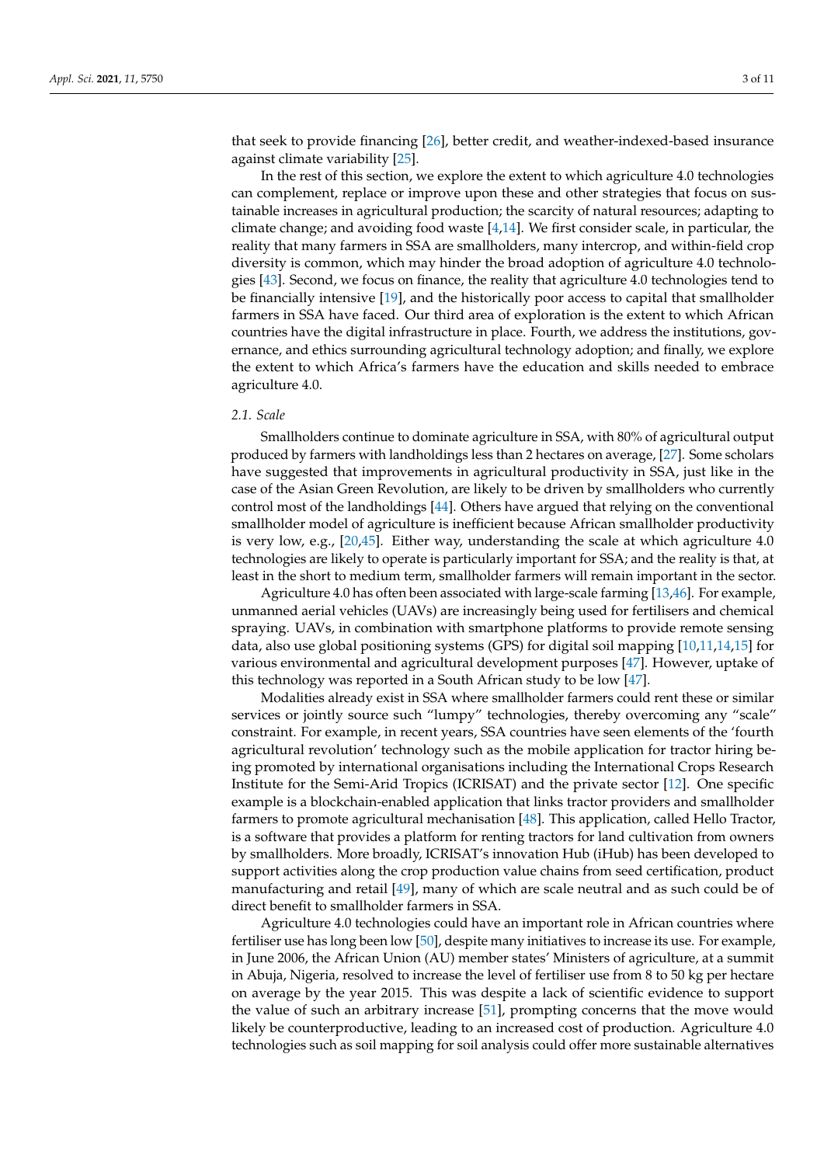that seek to provide financing [\[26\]](#page-9-1), better credit, and weather-indexed-based insurance against climate variability [\[25\]](#page-9-0).

In the rest of this section, we explore the extent to which agriculture 4.0 technologies can complement, replace or improve upon these and other strategies that focus on sustainable increases in agricultural production; the scarcity of natural resources; adapting to climate change; and avoiding food waste  $[4,14]$  $[4,14]$ . We first consider scale, in particular, the reality that many farmers in SSA are smallholders, many intercrop, and within-field crop diversity is common, which may hinder the broad adoption of agriculture 4.0 technologies [\[43\]](#page-9-16). Second, we focus on finance, the reality that agriculture 4.0 technologies tend to be financially intensive [\[19\]](#page-8-13), and the historically poor access to capital that smallholder farmers in SSA have faced. Our third area of exploration is the extent to which African countries have the digital infrastructure in place. Fourth, we address the institutions, governance, and ethics surrounding agricultural technology adoption; and finally, we explore the extent to which Africa's farmers have the education and skills needed to embrace agriculture 4.0.

# *2.1. Scale*

Smallholders continue to dominate agriculture in SSA, with 80% of agricultural output produced by farmers with landholdings less than 2 hectares on average, [\[27\]](#page-9-2). Some scholars have suggested that improvements in agricultural productivity in SSA, just like in the case of the Asian Green Revolution, are likely to be driven by smallholders who currently control most of the landholdings [\[44\]](#page-9-17). Others have argued that relying on the conventional smallholder model of agriculture is inefficient because African smallholder productivity is very low, e.g.,  $[20,45]$  $[20,45]$ . Either way, understanding the scale at which agriculture 4.0 technologies are likely to operate is particularly important for SSA; and the reality is that, at least in the short to medium term, smallholder farmers will remain important in the sector.

Agriculture 4.0 has often been associated with large-scale farming [\[13](#page-8-8)[,46\]](#page-9-19). For example, unmanned aerial vehicles (UAVs) are increasingly being used for fertilisers and chemical spraying. UAVs, in combination with smartphone platforms to provide remote sensing data, also use global positioning systems (GPS) for digital soil mapping [\[10,](#page-8-22)[11,](#page-8-21)[14,](#page-8-9)[15\]](#page-8-10) for various environmental and agricultural development purposes [\[47\]](#page-9-20). However, uptake of this technology was reported in a South African study to be low [\[47\]](#page-9-20).

Modalities already exist in SSA where smallholder farmers could rent these or similar services or jointly source such "lumpy" technologies, thereby overcoming any "scale" constraint. For example, in recent years, SSA countries have seen elements of the 'fourth agricultural revolution' technology such as the mobile application for tractor hiring being promoted by international organisations including the International Crops Research Institute for the Semi-Arid Tropics (ICRISAT) and the private sector [\[12\]](#page-8-18). One specific example is a blockchain-enabled application that links tractor providers and smallholder farmers to promote agricultural mechanisation [\[48\]](#page-9-21). This application, called Hello Tractor, is a software that provides a platform for renting tractors for land cultivation from owners by smallholders. More broadly, ICRISAT's innovation Hub (iHub) has been developed to support activities along the crop production value chains from seed certification, product manufacturing and retail [\[49\]](#page-9-22), many of which are scale neutral and as such could be of direct benefit to smallholder farmers in SSA.

Agriculture 4.0 technologies could have an important role in African countries where fertiliser use has long been low [\[50\]](#page-9-23), despite many initiatives to increase its use. For example, in June 2006, the African Union (AU) member states' Ministers of agriculture, at a summit in Abuja, Nigeria, resolved to increase the level of fertiliser use from 8 to 50 kg per hectare on average by the year 2015. This was despite a lack of scientific evidence to support the value of such an arbitrary increase [\[51\]](#page-9-24), prompting concerns that the move would likely be counterproductive, leading to an increased cost of production. Agriculture 4.0 technologies such as soil mapping for soil analysis could offer more sustainable alternatives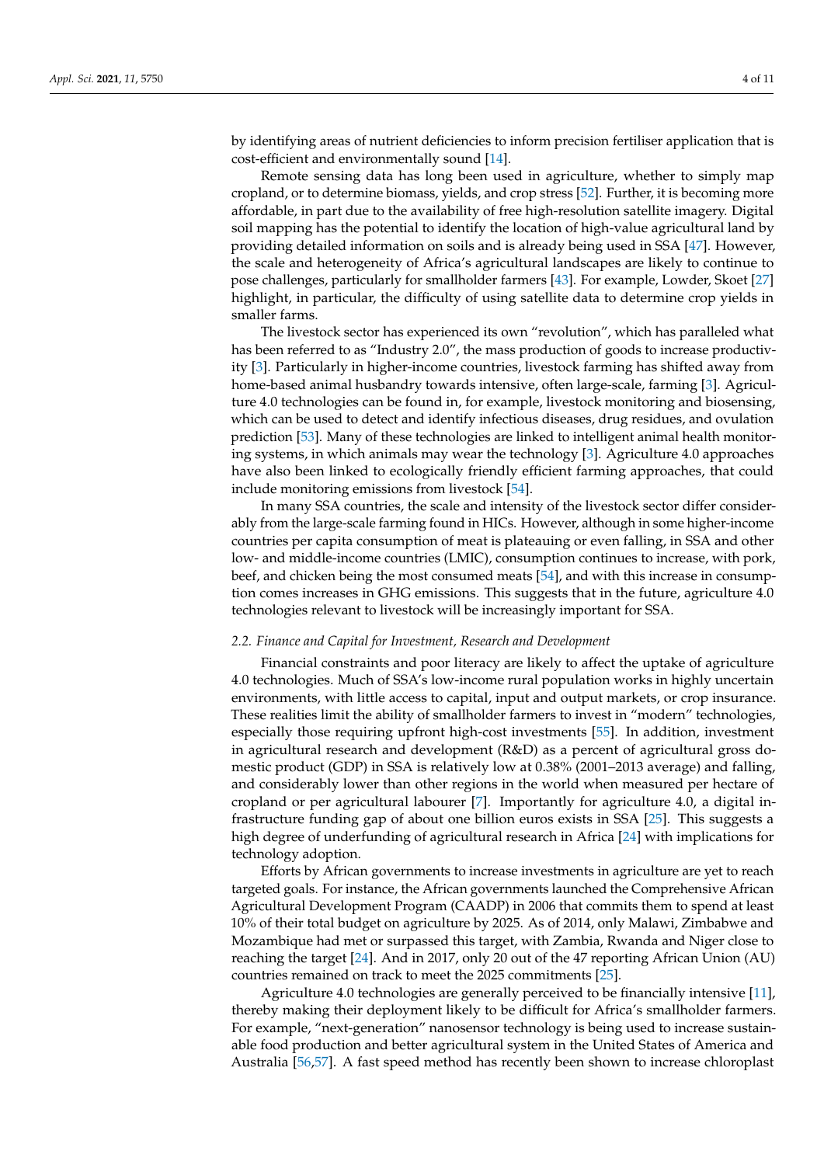by identifying areas of nutrient deficiencies to inform precision fertiliser application that is cost-efficient and environmentally sound [\[14\]](#page-8-9).

Remote sensing data has long been used in agriculture, whether to simply map cropland, or to determine biomass, yields, and crop stress [\[52\]](#page-9-25). Further, it is becoming more affordable, in part due to the availability of free high-resolution satellite imagery. Digital soil mapping has the potential to identify the location of high-value agricultural land by providing detailed information on soils and is already being used in SSA [\[47\]](#page-9-20). However, the scale and heterogeneity of Africa's agricultural landscapes are likely to continue to pose challenges, particularly for smallholder farmers [\[43\]](#page-9-16). For example, Lowder, Skoet [\[27\]](#page-9-2) highlight, in particular, the difficulty of using satellite data to determine crop yields in smaller farms.

The livestock sector has experienced its own "revolution", which has paralleled what has been referred to as "Industry 2.0", the mass production of goods to increase productivity [\[3\]](#page-8-3). Particularly in higher-income countries, livestock farming has shifted away from home-based animal husbandry towards intensive, often large-scale, farming [\[3\]](#page-8-3). Agriculture 4.0 technologies can be found in, for example, livestock monitoring and biosensing, which can be used to detect and identify infectious diseases, drug residues, and ovulation prediction [\[53\]](#page-9-26). Many of these technologies are linked to intelligent animal health monitoring systems, in which animals may wear the technology [\[3\]](#page-8-3). Agriculture 4.0 approaches have also been linked to ecologically friendly efficient farming approaches, that could include monitoring emissions from livestock [\[54\]](#page-9-27).

In many SSA countries, the scale and intensity of the livestock sector differ considerably from the large-scale farming found in HICs. However, although in some higher-income countries per capita consumption of meat is plateauing or even falling, in SSA and other low- and middle-income countries (LMIC), consumption continues to increase, with pork, beef, and chicken being the most consumed meats [\[54\]](#page-9-27), and with this increase in consumption comes increases in GHG emissions. This suggests that in the future, agriculture 4.0 technologies relevant to livestock will be increasingly important for SSA.

#### *2.2. Finance and Capital for Investment, Research and Development*

Financial constraints and poor literacy are likely to affect the uptake of agriculture 4.0 technologies. Much of SSA's low-income rural population works in highly uncertain environments, with little access to capital, input and output markets, or crop insurance. These realities limit the ability of smallholder farmers to invest in "modern" technologies, especially those requiring upfront high-cost investments [\[55\]](#page-10-0). In addition, investment in agricultural research and development (R&D) as a percent of agricultural gross domestic product (GDP) in SSA is relatively low at 0.38% (2001–2013 average) and falling, and considerably lower than other regions in the world when measured per hectare of cropland or per agricultural labourer [\[7\]](#page-8-5). Importantly for agriculture 4.0, a digital infrastructure funding gap of about one billion euros exists in SSA [\[25\]](#page-9-0). This suggests a high degree of underfunding of agricultural research in Africa [\[24\]](#page-8-20) with implications for technology adoption.

Efforts by African governments to increase investments in agriculture are yet to reach targeted goals. For instance, the African governments launched the Comprehensive African Agricultural Development Program (CAADP) in 2006 that commits them to spend at least 10% of their total budget on agriculture by 2025. As of 2014, only Malawi, Zimbabwe and Mozambique had met or surpassed this target, with Zambia, Rwanda and Niger close to reaching the target [\[24\]](#page-8-20). And in 2017, only 20 out of the 47 reporting African Union (AU) countries remained on track to meet the 2025 commitments [\[25\]](#page-9-0).

Agriculture 4.0 technologies are generally perceived to be financially intensive [\[11\]](#page-8-21), thereby making their deployment likely to be difficult for Africa's smallholder farmers. For example, "next-generation" nanosensor technology is being used to increase sustainable food production and better agricultural system in the United States of America and Australia [\[56](#page-10-1)[,57\]](#page-10-2). A fast speed method has recently been shown to increase chloroplast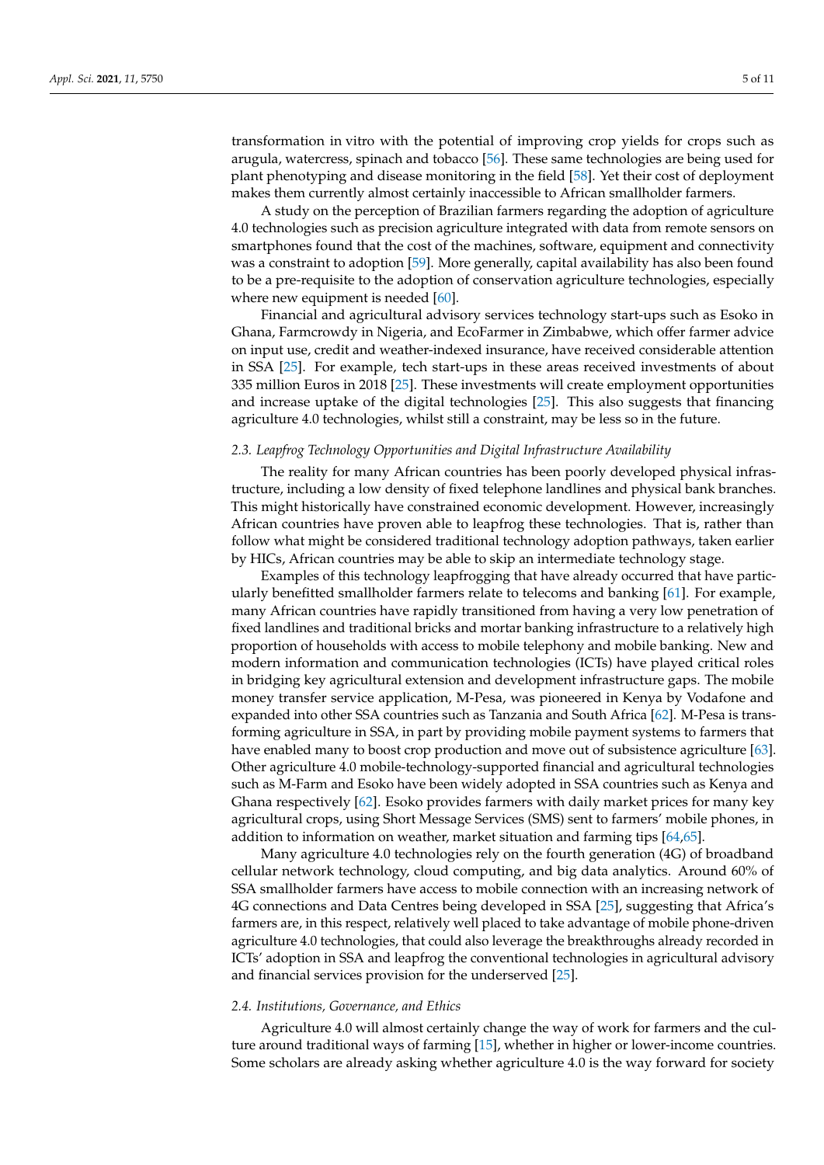transformation in vitro with the potential of improving crop yields for crops such as arugula, watercress, spinach and tobacco [\[56\]](#page-10-1). These same technologies are being used for plant phenotyping and disease monitoring in the field [\[58\]](#page-10-3). Yet their cost of deployment makes them currently almost certainly inaccessible to African smallholder farmers.

A study on the perception of Brazilian farmers regarding the adoption of agriculture 4.0 technologies such as precision agriculture integrated with data from remote sensors on smartphones found that the cost of the machines, software, equipment and connectivity was a constraint to adoption [\[59\]](#page-10-4). More generally, capital availability has also been found to be a pre-requisite to the adoption of conservation agriculture technologies, especially where new equipment is needed [\[60\]](#page-10-5).

Financial and agricultural advisory services technology start-ups such as Esoko in Ghana, Farmcrowdy in Nigeria, and EcoFarmer in Zimbabwe, which offer farmer advice on input use, credit and weather-indexed insurance, have received considerable attention in SSA [\[25\]](#page-9-0). For example, tech start-ups in these areas received investments of about 335 million Euros in 2018 [\[25\]](#page-9-0). These investments will create employment opportunities and increase uptake of the digital technologies [\[25\]](#page-9-0). This also suggests that financing agriculture 4.0 technologies, whilst still a constraint, may be less so in the future.

### *2.3. Leapfrog Technology Opportunities and Digital Infrastructure Availability*

The reality for many African countries has been poorly developed physical infrastructure, including a low density of fixed telephone landlines and physical bank branches. This might historically have constrained economic development. However, increasingly African countries have proven able to leapfrog these technologies. That is, rather than follow what might be considered traditional technology adoption pathways, taken earlier by HICs, African countries may be able to skip an intermediate technology stage.

Examples of this technology leapfrogging that have already occurred that have particularly benefitted smallholder farmers relate to telecoms and banking [\[61\]](#page-10-6). For example, many African countries have rapidly transitioned from having a very low penetration of fixed landlines and traditional bricks and mortar banking infrastructure to a relatively high proportion of households with access to mobile telephony and mobile banking. New and modern information and communication technologies (ICTs) have played critical roles in bridging key agricultural extension and development infrastructure gaps. The mobile money transfer service application, M-Pesa, was pioneered in Kenya by Vodafone and expanded into other SSA countries such as Tanzania and South Africa [\[62\]](#page-10-7). M-Pesa is transforming agriculture in SSA, in part by providing mobile payment systems to farmers that have enabled many to boost crop production and move out of subsistence agriculture [\[63\]](#page-10-8). Other agriculture 4.0 mobile-technology-supported financial and agricultural technologies such as M-Farm and Esoko have been widely adopted in SSA countries such as Kenya and Ghana respectively [\[62\]](#page-10-7). Esoko provides farmers with daily market prices for many key agricultural crops, using Short Message Services (SMS) sent to farmers' mobile phones, in addition to information on weather, market situation and farming tips [\[64](#page-10-9)[,65\]](#page-10-10).

Many agriculture 4.0 technologies rely on the fourth generation (4G) of broadband cellular network technology, cloud computing, and big data analytics. Around 60% of SSA smallholder farmers have access to mobile connection with an increasing network of 4G connections and Data Centres being developed in SSA [\[25\]](#page-9-0), suggesting that Africa's farmers are, in this respect, relatively well placed to take advantage of mobile phone-driven agriculture 4.0 technologies, that could also leverage the breakthroughs already recorded in ICTs' adoption in SSA and leapfrog the conventional technologies in agricultural advisory and financial services provision for the underserved [\[25\]](#page-9-0).

## *2.4. Institutions, Governance, and Ethics*

Agriculture 4.0 will almost certainly change the way of work for farmers and the culture around traditional ways of farming [\[15\]](#page-8-10), whether in higher or lower-income countries. Some scholars are already asking whether agriculture 4.0 is the way forward for society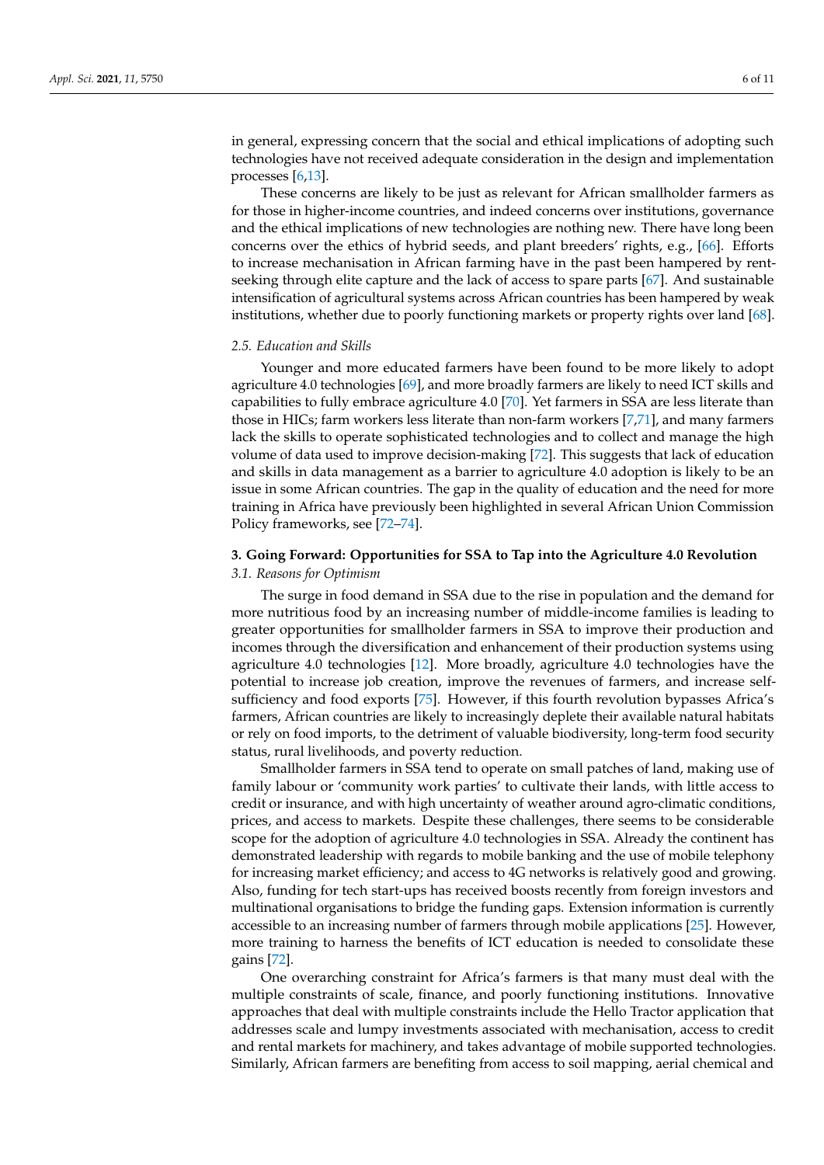in general, expressing concern that the social and ethical implications of adopting such technologies have not received adequate consideration in the design and implementation processes [\[6,](#page-8-4)[13\]](#page-8-8).

These concerns are likely to be just as relevant for African smallholder farmers as for those in higher-income countries, and indeed concerns over institutions, governance and the ethical implications of new technologies are nothing new. There have long been concerns over the ethics of hybrid seeds, and plant breeders' rights, e.g., [\[66\]](#page-10-11). Efforts to increase mechanisation in African farming have in the past been hampered by rentseeking through elite capture and the lack of access to spare parts [\[67\]](#page-10-12). And sustainable intensification of agricultural systems across African countries has been hampered by weak institutions, whether due to poorly functioning markets or property rights over land [\[68\]](#page-10-13).

#### *2.5. Education and Skills*

Younger and more educated farmers have been found to be more likely to adopt agriculture 4.0 technologies [\[69\]](#page-10-14), and more broadly farmers are likely to need ICT skills and capabilities to fully embrace agriculture 4.0 [\[70\]](#page-10-15). Yet farmers in SSA are less literate than those in HICs; farm workers less literate than non-farm workers [\[7,](#page-8-5)[71\]](#page-10-16), and many farmers lack the skills to operate sophisticated technologies and to collect and manage the high volume of data used to improve decision-making [\[72\]](#page-10-17). This suggests that lack of education and skills in data management as a barrier to agriculture 4.0 adoption is likely to be an issue in some African countries. The gap in the quality of education and the need for more training in Africa have previously been highlighted in several African Union Commission Policy frameworks, see [\[72–](#page-10-17)[74\]](#page-10-18).

# <span id="page-5-0"></span>**3. Going Forward: Opportunities for SSA to Tap into the Agriculture 4.0 Revolution** *3.1. Reasons for Optimism*

The surge in food demand in SSA due to the rise in population and the demand for more nutritious food by an increasing number of middle-income families is leading to greater opportunities for smallholder farmers in SSA to improve their production and incomes through the diversification and enhancement of their production systems using agriculture 4.0 technologies [\[12\]](#page-8-18). More broadly, agriculture 4.0 technologies have the potential to increase job creation, improve the revenues of farmers, and increase selfsufficiency and food exports [\[75\]](#page-10-19). However, if this fourth revolution bypasses Africa's farmers, African countries are likely to increasingly deplete their available natural habitats or rely on food imports, to the detriment of valuable biodiversity, long-term food security status, rural livelihoods, and poverty reduction.

Smallholder farmers in SSA tend to operate on small patches of land, making use of family labour or 'community work parties' to cultivate their lands, with little access to credit or insurance, and with high uncertainty of weather around agro-climatic conditions, prices, and access to markets. Despite these challenges, there seems to be considerable scope for the adoption of agriculture 4.0 technologies in SSA. Already the continent has demonstrated leadership with regards to mobile banking and the use of mobile telephony for increasing market efficiency; and access to 4G networks is relatively good and growing. Also, funding for tech start-ups has received boosts recently from foreign investors and multinational organisations to bridge the funding gaps. Extension information is currently accessible to an increasing number of farmers through mobile applications [\[25\]](#page-9-0). However, more training to harness the benefits of ICT education is needed to consolidate these gains [\[72\]](#page-10-17).

One overarching constraint for Africa's farmers is that many must deal with the multiple constraints of scale, finance, and poorly functioning institutions. Innovative approaches that deal with multiple constraints include the Hello Tractor application that addresses scale and lumpy investments associated with mechanisation, access to credit and rental markets for machinery, and takes advantage of mobile supported technologies. Similarly, African farmers are benefiting from access to soil mapping, aerial chemical and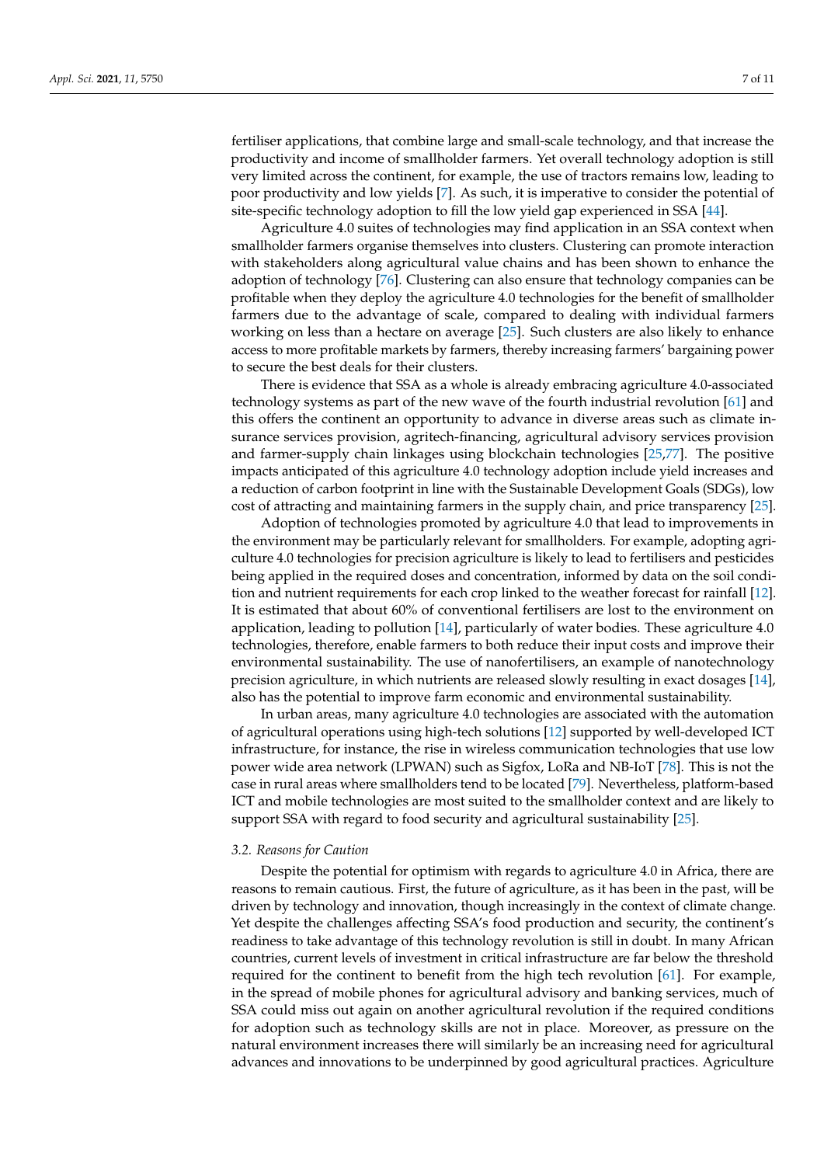fertiliser applications, that combine large and small-scale technology, and that increase the productivity and income of smallholder farmers. Yet overall technology adoption is still very limited across the continent, for example, the use of tractors remains low, leading to poor productivity and low yields [\[7\]](#page-8-5). As such, it is imperative to consider the potential of site-specific technology adoption to fill the low yield gap experienced in SSA [\[44\]](#page-9-17).

Agriculture 4.0 suites of technologies may find application in an SSA context when smallholder farmers organise themselves into clusters. Clustering can promote interaction with stakeholders along agricultural value chains and has been shown to enhance the adoption of technology [\[76\]](#page-10-20). Clustering can also ensure that technology companies can be profitable when they deploy the agriculture 4.0 technologies for the benefit of smallholder farmers due to the advantage of scale, compared to dealing with individual farmers working on less than a hectare on average [\[25\]](#page-9-0). Such clusters are also likely to enhance access to more profitable markets by farmers, thereby increasing farmers' bargaining power to secure the best deals for their clusters.

There is evidence that SSA as a whole is already embracing agriculture 4.0-associated technology systems as part of the new wave of the fourth industrial revolution [\[61\]](#page-10-6) and this offers the continent an opportunity to advance in diverse areas such as climate insurance services provision, agritech-financing, agricultural advisory services provision and farmer-supply chain linkages using blockchain technologies [\[25,](#page-9-0)[77\]](#page-10-21). The positive impacts anticipated of this agriculture 4.0 technology adoption include yield increases and a reduction of carbon footprint in line with the Sustainable Development Goals (SDGs), low cost of attracting and maintaining farmers in the supply chain, and price transparency [\[25\]](#page-9-0).

Adoption of technologies promoted by agriculture 4.0 that lead to improvements in the environment may be particularly relevant for smallholders. For example, adopting agriculture 4.0 technologies for precision agriculture is likely to lead to fertilisers and pesticides being applied in the required doses and concentration, informed by data on the soil condition and nutrient requirements for each crop linked to the weather forecast for rainfall [\[12\]](#page-8-18). It is estimated that about 60% of conventional fertilisers are lost to the environment on application, leading to pollution [\[14\]](#page-8-9), particularly of water bodies. These agriculture 4.0 technologies, therefore, enable farmers to both reduce their input costs and improve their environmental sustainability. The use of nanofertilisers, an example of nanotechnology precision agriculture, in which nutrients are released slowly resulting in exact dosages [\[14\]](#page-8-9), also has the potential to improve farm economic and environmental sustainability.

In urban areas, many agriculture 4.0 technologies are associated with the automation of agricultural operations using high-tech solutions [\[12\]](#page-8-18) supported by well-developed ICT infrastructure, for instance, the rise in wireless communication technologies that use low power wide area network (LPWAN) such as Sigfox, LoRa and NB-IoT [\[78\]](#page-10-22). This is not the case in rural areas where smallholders tend to be located [\[79\]](#page-10-23). Nevertheless, platform-based ICT and mobile technologies are most suited to the smallholder context and are likely to support SSA with regard to food security and agricultural sustainability [\[25\]](#page-9-0).

#### *3.2. Reasons for Caution*

Despite the potential for optimism with regards to agriculture 4.0 in Africa, there are reasons to remain cautious. First, the future of agriculture, as it has been in the past, will be driven by technology and innovation, though increasingly in the context of climate change. Yet despite the challenges affecting SSA's food production and security, the continent's readiness to take advantage of this technology revolution is still in doubt. In many African countries, current levels of investment in critical infrastructure are far below the threshold required for the continent to benefit from the high tech revolution [\[61\]](#page-10-6). For example, in the spread of mobile phones for agricultural advisory and banking services, much of SSA could miss out again on another agricultural revolution if the required conditions for adoption such as technology skills are not in place. Moreover, as pressure on the natural environment increases there will similarly be an increasing need for agricultural advances and innovations to be underpinned by good agricultural practices. Agriculture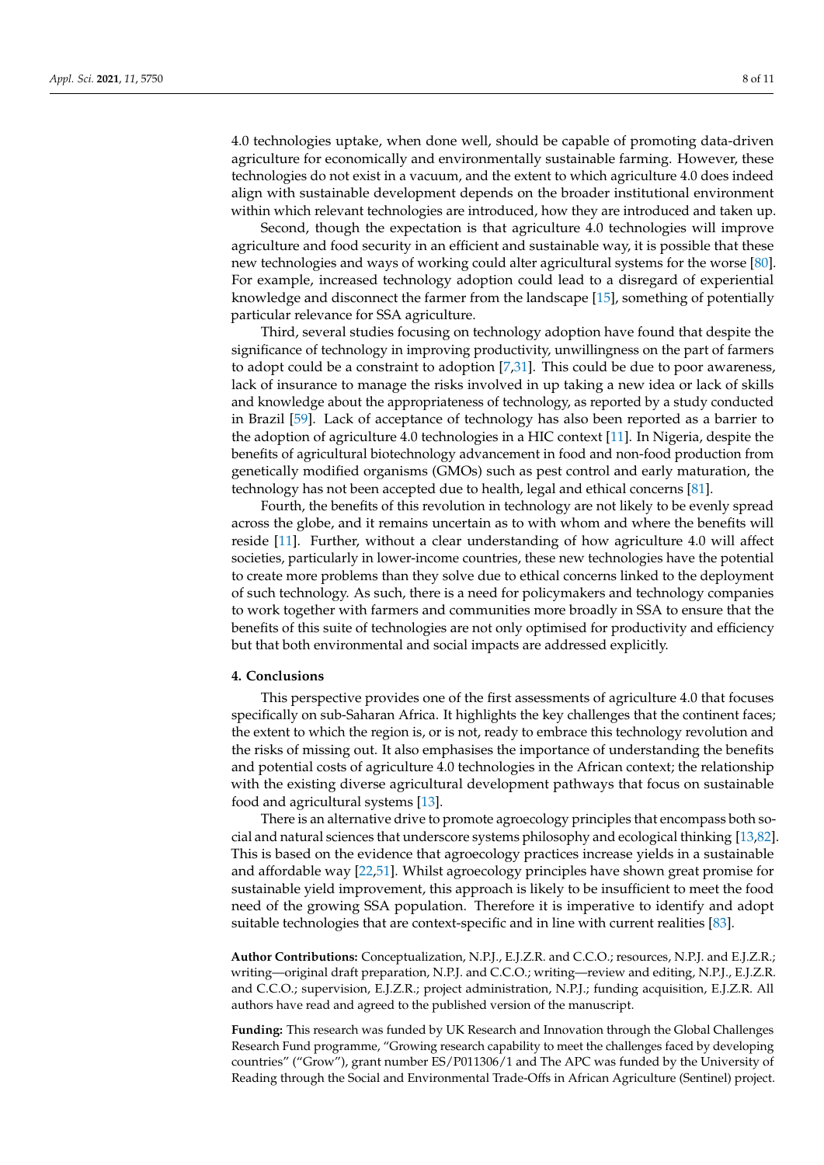4.0 technologies uptake, when done well, should be capable of promoting data-driven agriculture for economically and environmentally sustainable farming. However, these technologies do not exist in a vacuum, and the extent to which agriculture 4.0 does indeed align with sustainable development depends on the broader institutional environment within which relevant technologies are introduced, how they are introduced and taken up.

Second, though the expectation is that agriculture 4.0 technologies will improve agriculture and food security in an efficient and sustainable way, it is possible that these new technologies and ways of working could alter agricultural systems for the worse [\[80\]](#page-10-24). For example, increased technology adoption could lead to a disregard of experiential knowledge and disconnect the farmer from the landscape [\[15\]](#page-8-10), something of potentially particular relevance for SSA agriculture.

Third, several studies focusing on technology adoption have found that despite the significance of technology in improving productivity, unwillingness on the part of farmers to adopt could be a constraint to adoption [\[7](#page-8-5)[,31\]](#page-9-5). This could be due to poor awareness, lack of insurance to manage the risks involved in up taking a new idea or lack of skills and knowledge about the appropriateness of technology, as reported by a study conducted in Brazil [\[59\]](#page-10-4). Lack of acceptance of technology has also been reported as a barrier to the adoption of agriculture 4.0 technologies in a HIC context [\[11\]](#page-8-21). In Nigeria, despite the benefits of agricultural biotechnology advancement in food and non-food production from genetically modified organisms (GMOs) such as pest control and early maturation, the technology has not been accepted due to health, legal and ethical concerns [\[81\]](#page-10-25).

Fourth, the benefits of this revolution in technology are not likely to be evenly spread across the globe, and it remains uncertain as to with whom and where the benefits will reside [\[11\]](#page-8-21). Further, without a clear understanding of how agriculture 4.0 will affect societies, particularly in lower-income countries, these new technologies have the potential to create more problems than they solve due to ethical concerns linked to the deployment of such technology. As such, there is a need for policymakers and technology companies to work together with farmers and communities more broadly in SSA to ensure that the benefits of this suite of technologies are not only optimised for productivity and efficiency but that both environmental and social impacts are addressed explicitly.

## <span id="page-7-0"></span>**4. Conclusions**

This perspective provides one of the first assessments of agriculture 4.0 that focuses specifically on sub-Saharan Africa. It highlights the key challenges that the continent faces; the extent to which the region is, or is not, ready to embrace this technology revolution and the risks of missing out. It also emphasises the importance of understanding the benefits and potential costs of agriculture 4.0 technologies in the African context; the relationship with the existing diverse agricultural development pathways that focus on sustainable food and agricultural systems [\[13\]](#page-8-8).

There is an alternative drive to promote agroecology principles that encompass both social and natural sciences that underscore systems philosophy and ecological thinking [\[13](#page-8-8)[,82\]](#page-10-26). This is based on the evidence that agroecology practices increase yields in a sustainable and affordable way [\[22,](#page-8-16)[51\]](#page-9-24). Whilst agroecology principles have shown great promise for sustainable yield improvement, this approach is likely to be insufficient to meet the food need of the growing SSA population. Therefore it is imperative to identify and adopt suitable technologies that are context-specific and in line with current realities [\[83\]](#page-10-27).

**Author Contributions:** Conceptualization, N.P.J., E.J.Z.R. and C.C.O.; resources, N.P.J. and E.J.Z.R.; writing—original draft preparation, N.P.J. and C.C.O.; writing—review and editing, N.P.J., E.J.Z.R. and C.C.O.; supervision, E.J.Z.R.; project administration, N.P.J.; funding acquisition, E.J.Z.R. All authors have read and agreed to the published version of the manuscript.

**Funding:** This research was funded by UK Research and Innovation through the Global Challenges Research Fund programme, "Growing research capability to meet the challenges faced by developing countries" ("Grow"), grant number ES/P011306/1 and The APC was funded by the University of Reading through the Social and Environmental Trade-Offs in African Agriculture (Sentinel) project.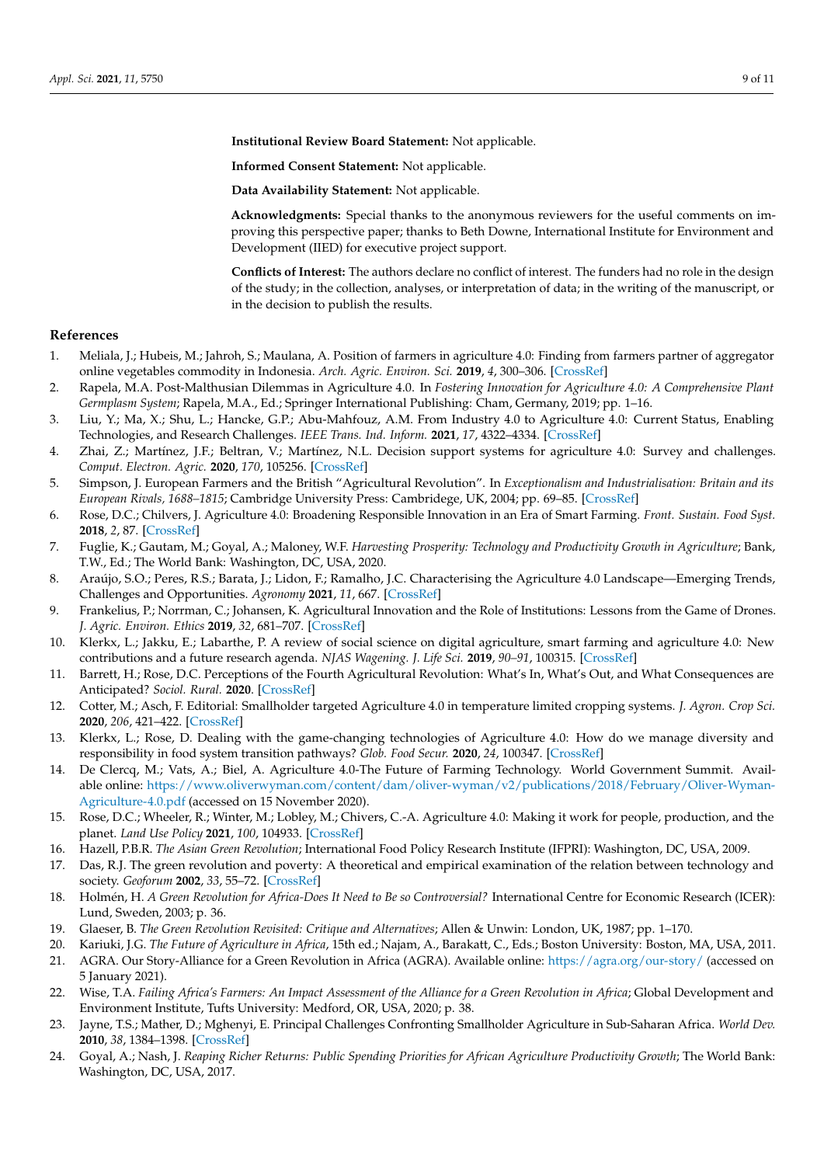**Institutional Review Board Statement:** Not applicable.

**Informed Consent Statement:** Not applicable.

**Data Availability Statement:** Not applicable.

**Acknowledgments:** Special thanks to the anonymous reviewers for the useful comments on improving this perspective paper; thanks to Beth Downe, International Institute for Environment and Development (IIED) for executive project support.

**Conflicts of Interest:** The authors declare no conflict of interest. The funders had no role in the design of the study; in the collection, analyses, or interpretation of data; in the writing of the manuscript, or in the decision to publish the results.

## **References**

- <span id="page-8-0"></span>1. Meliala, J.; Hubeis, M.; Jahroh, S.; Maulana, A. Position of farmers in agriculture 4.0: Finding from farmers partner of aggregator online vegetables commodity in Indonesia. *Arch. Agric. Environ. Sci.* **2019**, *4*, 300–306. [\[CrossRef\]](http://doi.org/10.26832/24566632.2019.040307)
- 2. Rapela, M.A. Post-Malthusian Dilemmas in Agriculture 4.0. In *Fostering Innovation for Agriculture 4.0: A Comprehensive Plant Germplasm System*; Rapela, M.A., Ed.; Springer International Publishing: Cham, Germany, 2019; pp. 1–16.
- <span id="page-8-3"></span>3. Liu, Y.; Ma, X.; Shu, L.; Hancke, G.P.; Abu-Mahfouz, A.M. From Industry 4.0 to Agriculture 4.0: Current Status, Enabling Technologies, and Research Challenges. *IEEE Trans. Ind. Inform.* **2021**, *17*, 4322–4334. [\[CrossRef\]](http://doi.org/10.1109/TII.2020.3003910)
- <span id="page-8-1"></span>4. Zhai, Z.; Martínez, J.F.; Beltran, V.; Martínez, N.L. Decision support systems for agriculture 4.0: Survey and challenges. *Comput. Electron. Agric.* **2020**, *170*, 105256. [\[CrossRef\]](http://doi.org/10.1016/j.compag.2020.105256)
- <span id="page-8-2"></span>5. Simpson, J. European Farmers and the British "Agricultural Revolution". In *Exceptionalism and Industrialisation: Britain and its European Rivals, 1688–1815*; Cambridge University Press: Cambridege, UK, 2004; pp. 69–85. [\[CrossRef\]](http://doi.org/10.1017/CBO9780511523830.004)
- <span id="page-8-4"></span>6. Rose, D.C.; Chilvers, J. Agriculture 4.0: Broadening Responsible Innovation in an Era of Smart Farming. *Front. Sustain. Food Syst.* **2018**, *2*, 87. [\[CrossRef\]](http://doi.org/10.3389/fsufs.2018.00087)
- <span id="page-8-5"></span>7. Fuglie, K.; Gautam, M.; Goyal, A.; Maloney, W.F. *Harvesting Prosperity: Technology and Productivity Growth in Agriculture*; Bank, T.W., Ed.; The World Bank: Washington, DC, USA, 2020.
- <span id="page-8-6"></span>8. Araújo, S.O.; Peres, R.S.; Barata, J.; Lidon, F.; Ramalho, J.C. Characterising the Agriculture 4.0 Landscape—Emerging Trends, Challenges and Opportunities. *Agronomy* **2021**, *11*, 667. [\[CrossRef\]](http://doi.org/10.3390/agronomy11040667)
- <span id="page-8-7"></span>9. Frankelius, P.; Norrman, C.; Johansen, K. Agricultural Innovation and the Role of Institutions: Lessons from the Game of Drones. *J. Agric. Environ. Ethics* **2019**, *32*, 681–707. [\[CrossRef\]](http://doi.org/10.1007/s10806-017-9703-6)
- <span id="page-8-22"></span>10. Klerkx, L.; Jakku, E.; Labarthe, P. A review of social science on digital agriculture, smart farming and agriculture 4.0: New contributions and a future research agenda. *NJAS Wagening. J. Life Sci.* **2019**, *90–91*, 100315. [\[CrossRef\]](http://doi.org/10.1016/j.njas.2019.100315)
- <span id="page-8-21"></span>11. Barrett, H.; Rose, D.C. Perceptions of the Fourth Agricultural Revolution: What's In, What's Out, and What Consequences are Anticipated? *Sociol. Rural.* **2020**. [\[CrossRef\]](http://doi.org/10.1111/soru.12324)
- <span id="page-8-18"></span>12. Cotter, M.; Asch, F. Editorial: Smallholder targeted Agriculture 4.0 in temperature limited cropping systems. *J. Agron. Crop Sci.* **2020**, *206*, 421–422. [\[CrossRef\]](http://doi.org/10.1111/jac.12414)
- <span id="page-8-8"></span>13. Klerkx, L.; Rose, D. Dealing with the game-changing technologies of Agriculture 4.0: How do we manage diversity and responsibility in food system transition pathways? *Glob. Food Secur.* **2020**, *24*, 100347. [\[CrossRef\]](http://doi.org/10.1016/j.gfs.2019.100347)
- <span id="page-8-9"></span>14. De Clercq, M.; Vats, A.; Biel, A. Agriculture 4.0-The Future of Farming Technology. World Government Summit. Available online: [https://www.oliverwyman.com/content/dam/oliver-wyman/v2/publications/2018/February/Oliver-Wyman-](https://www.oliverwyman.com/content/dam/oliver-wyman/v2/publications/2018/February/Oliver-Wyman-Agriculture-4.0.pdf)[Agriculture-4.0.pdf](https://www.oliverwyman.com/content/dam/oliver-wyman/v2/publications/2018/February/Oliver-Wyman-Agriculture-4.0.pdf) (accessed on 15 November 2020).
- <span id="page-8-10"></span>15. Rose, D.C.; Wheeler, R.; Winter, M.; Lobley, M.; Chivers, C.-A. Agriculture 4.0: Making it work for people, production, and the planet. *Land Use Policy* **2021**, *100*, 104933. [\[CrossRef\]](http://doi.org/10.1016/j.landusepol.2020.104933)
- <span id="page-8-11"></span>16. Hazell, P.B.R. *The Asian Green Revolution*; International Food Policy Research Institute (IFPRI): Washington, DC, USA, 2009.
- <span id="page-8-12"></span>17. Das, R.J. The green revolution and poverty: A theoretical and empirical examination of the relation between technology and society. *Geoforum* **2002**, *33*, 55–72. [\[CrossRef\]](http://doi.org/10.1016/S0016-7185(01)00006-9)
- <span id="page-8-17"></span>18. Holmén, H. *A Green Revolution for Africa-Does It Need to Be so Controversial?* International Centre for Economic Research (ICER): Lund, Sweden, 2003; p. 36.
- <span id="page-8-13"></span>19. Glaeser, B. *The Green Revolution Revisited: Critique and Alternatives*; Allen & Unwin: London, UK, 1987; pp. 1–170.
- <span id="page-8-14"></span>20. Kariuki, J.G. *The Future of Agriculture in Africa*, 15th ed.; Najam, A., Barakatt, C., Eds.; Boston University: Boston, MA, USA, 2011.
- <span id="page-8-15"></span>21. AGRA. Our Story-Alliance for a Green Revolution in Africa (AGRA). Available online: <https://agra.org/our-story/> (accessed on 5 January 2021).
- <span id="page-8-16"></span>22. Wise, T.A. *Failing Africa's Farmers: An Impact Assessment of the Alliance for a Green Revolution in Africa*; Global Development and Environment Institute, Tufts University: Medford, OR, USA, 2020; p. 38.
- <span id="page-8-19"></span>23. Jayne, T.S.; Mather, D.; Mghenyi, E. Principal Challenges Confronting Smallholder Agriculture in Sub-Saharan Africa. *World Dev.* **2010**, *38*, 1384–1398. [\[CrossRef\]](http://doi.org/10.1016/j.worlddev.2010.06.002)
- <span id="page-8-20"></span>24. Goyal, A.; Nash, J. *Reaping Richer Returns: Public Spending Priorities for African Agriculture Productivity Growth*; The World Bank: Washington, DC, USA, 2017.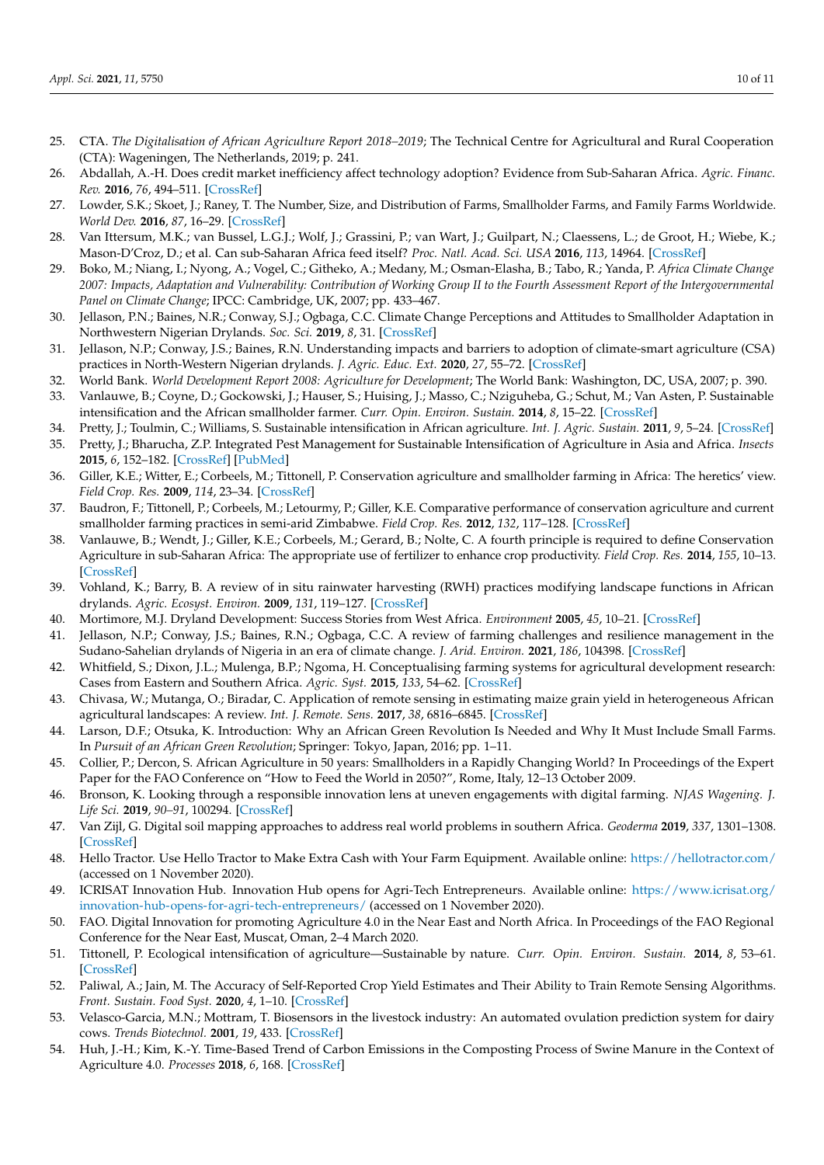- <span id="page-9-0"></span>25. CTA. *The Digitalisation of African Agriculture Report 2018–2019*; The Technical Centre for Agricultural and Rural Cooperation (CTA): Wageningen, The Netherlands, 2019; p. 241.
- <span id="page-9-1"></span>26. Abdallah, A.-H. Does credit market inefficiency affect technology adoption? Evidence from Sub-Saharan Africa. *Agric. Financ. Rev.* **2016**, *76*, 494–511. [\[CrossRef\]](http://doi.org/10.1108/AFR-05-2016-0052)
- <span id="page-9-2"></span>27. Lowder, S.K.; Skoet, J.; Raney, T. The Number, Size, and Distribution of Farms, Smallholder Farms, and Family Farms Worldwide. *World Dev.* **2016**, *87*, 16–29. [\[CrossRef\]](http://doi.org/10.1016/j.worlddev.2015.10.041)
- <span id="page-9-3"></span>28. Van Ittersum, M.K.; van Bussel, L.G.J.; Wolf, J.; Grassini, P.; van Wart, J.; Guilpart, N.; Claessens, L.; de Groot, H.; Wiebe, K.; Mason-D'Croz, D.; et al. Can sub-Saharan Africa feed itself? *Proc. Natl. Acad. Sci. USA* **2016**, *113*, 14964. [\[CrossRef\]](http://doi.org/10.1073/pnas.1610359113)
- <span id="page-9-4"></span>29. Boko, M.; Niang, I.; Nyong, A.; Vogel, C.; Githeko, A.; Medany, M.; Osman-Elasha, B.; Tabo, R.; Yanda, P. *Africa Climate Change 2007: Impacts, Adaptation and Vulnerability: Contribution of Working Group II to the Fourth Assessment Report of the Intergovernmental Panel on Climate Change*; IPCC: Cambridge, UK, 2007; pp. 433–467.
- 30. Jellason, P.N.; Baines, N.R.; Conway, S.J.; Ogbaga, C.C. Climate Change Perceptions and Attitudes to Smallholder Adaptation in Northwestern Nigerian Drylands. *Soc. Sci.* **2019**, *8*, 31. [\[CrossRef\]](http://doi.org/10.3390/socsci8020031)
- <span id="page-9-5"></span>31. Jellason, N.P.; Conway, J.S.; Baines, R.N. Understanding impacts and barriers to adoption of climate-smart agriculture (CSA) practices in North-Western Nigerian drylands. *J. Agric. Educ. Ext.* **2020**, *27*, 55–72. [\[CrossRef\]](http://doi.org/10.1080/1389224X.2020.1793787)
- <span id="page-9-6"></span>32. World Bank. *World Development Report 2008: Agriculture for Development*; The World Bank: Washington, DC, USA, 2007; p. 390.
- <span id="page-9-7"></span>33. Vanlauwe, B.; Coyne, D.; Gockowski, J.; Hauser, S.; Huising, J.; Masso, C.; Nziguheba, G.; Schut, M.; Van Asten, P. Sustainable intensification and the African smallholder farmer. *Curr. Opin. Environ. Sustain.* **2014**, *8*, 15–22. [\[CrossRef\]](http://doi.org/10.1016/j.cosust.2014.06.001)
- <span id="page-9-9"></span><span id="page-9-8"></span>34. Pretty, J.; Toulmin, C.; Williams, S. Sustainable intensification in African agriculture. *Int. J. Agric. Sustain.* **2011**, *9*, 5–24. [\[CrossRef\]](http://doi.org/10.3763/ijas.2010.0583) 35. Pretty, J.; Bharucha, Z.P. Integrated Pest Management for Sustainable Intensification of Agriculture in Asia and Africa. *Insects* **2015**, *6*, 152–182. [\[CrossRef\]](http://doi.org/10.3390/insects6010152) [\[PubMed\]](http://www.ncbi.nlm.nih.gov/pubmed/26463073)
- <span id="page-9-10"></span>36. Giller, K.E.; Witter, E.; Corbeels, M.; Tittonell, P. Conservation agriculture and smallholder farming in Africa: The heretics' view. *Field Crop. Res.* **2009**, *114*, 23–34. [\[CrossRef\]](http://doi.org/10.1016/j.fcr.2009.06.017)
- 37. Baudron, F.; Tittonell, P.; Corbeels, M.; Letourmy, P.; Giller, K.E. Comparative performance of conservation agriculture and current smallholder farming practices in semi-arid Zimbabwe. *Field Crop. Res.* **2012**, *132*, 117–128. [\[CrossRef\]](http://doi.org/10.1016/j.fcr.2011.09.008)
- <span id="page-9-11"></span>38. Vanlauwe, B.; Wendt, J.; Giller, K.E.; Corbeels, M.; Gerard, B.; Nolte, C. A fourth principle is required to define Conservation Agriculture in sub-Saharan Africa: The appropriate use of fertilizer to enhance crop productivity. *Field Crop. Res.* **2014**, *155*, 10–13. [\[CrossRef\]](http://doi.org/10.1016/j.fcr.2013.10.002)
- <span id="page-9-12"></span>39. Vohland, K.; Barry, B. A review of in situ rainwater harvesting (RWH) practices modifying landscape functions in African drylands. *Agric. Ecosyst. Environ.* **2009**, *131*, 119–127. [\[CrossRef\]](http://doi.org/10.1016/j.agee.2009.01.010)
- <span id="page-9-13"></span>40. Mortimore, M.J. Dryland Development: Success Stories from West Africa. *Environment* **2005**, *45*, 10–21. [\[CrossRef\]](http://doi.org/10.3200/ENVT.47.1.8-21)
- <span id="page-9-14"></span>41. Jellason, N.P.; Conway, J.S.; Baines, R.N.; Ogbaga, C.C. A review of farming challenges and resilience management in the Sudano-Sahelian drylands of Nigeria in an era of climate change. *J. Arid. Environ.* **2021**, *186*, 104398. [\[CrossRef\]](http://doi.org/10.1016/j.jaridenv.2020.104398)
- <span id="page-9-15"></span>42. Whitfield, S.; Dixon, J.L.; Mulenga, B.P.; Ngoma, H. Conceptualising farming systems for agricultural development research: Cases from Eastern and Southern Africa. *Agric. Syst.* **2015**, *133*, 54–62. [\[CrossRef\]](http://doi.org/10.1016/j.agsy.2014.09.005)
- <span id="page-9-16"></span>43. Chivasa, W.; Mutanga, O.; Biradar, C. Application of remote sensing in estimating maize grain yield in heterogeneous African agricultural landscapes: A review. *Int. J. Remote. Sens.* **2017**, *38*, 6816–6845. [\[CrossRef\]](http://doi.org/10.1080/01431161.2017.1365390)
- <span id="page-9-17"></span>44. Larson, D.F.; Otsuka, K. Introduction: Why an African Green Revolution Is Needed and Why It Must Include Small Farms. In *Pursuit of an African Green Revolution*; Springer: Tokyo, Japan, 2016; pp. 1–11.
- <span id="page-9-18"></span>45. Collier, P.; Dercon, S. African Agriculture in 50 years: Smallholders in a Rapidly Changing World? In Proceedings of the Expert Paper for the FAO Conference on "How to Feed the World in 2050?", Rome, Italy, 12–13 October 2009.
- <span id="page-9-19"></span>46. Bronson, K. Looking through a responsible innovation lens at uneven engagements with digital farming. *NJAS Wagening. J. Life Sci.* **2019**, *90–91*, 100294. [\[CrossRef\]](http://doi.org/10.1016/j.njas.2019.03.001)
- <span id="page-9-20"></span>47. Van Zijl, G. Digital soil mapping approaches to address real world problems in southern Africa. *Geoderma* **2019**, *337*, 1301–1308. [\[CrossRef\]](http://doi.org/10.1016/j.geoderma.2018.07.052)
- <span id="page-9-21"></span>48. Hello Tractor. Use Hello Tractor to Make Extra Cash with Your Farm Equipment. Available online: <https://hellotractor.com/> (accessed on 1 November 2020).
- <span id="page-9-22"></span>49. ICRISAT Innovation Hub. Innovation Hub opens for Agri-Tech Entrepreneurs. Available online: [https://www.icrisat.org/](https://www.icrisat.org/innovation-hub-opens-for-agri-tech-entrepreneurs/) [innovation-hub-opens-for-agri-tech-entrepreneurs/](https://www.icrisat.org/innovation-hub-opens-for-agri-tech-entrepreneurs/) (accessed on 1 November 2020).
- <span id="page-9-23"></span>50. FAO. Digital Innovation for promoting Agriculture 4.0 in the Near East and North Africa. In Proceedings of the FAO Regional Conference for the Near East, Muscat, Oman, 2–4 March 2020.
- <span id="page-9-24"></span>51. Tittonell, P. Ecological intensification of agriculture—Sustainable by nature. *Curr. Opin. Environ. Sustain.* **2014**, *8*, 53–61. [\[CrossRef\]](http://doi.org/10.1016/j.cosust.2014.08.006)
- <span id="page-9-25"></span>52. Paliwal, A.; Jain, M. The Accuracy of Self-Reported Crop Yield Estimates and Their Ability to Train Remote Sensing Algorithms. *Front. Sustain. Food Syst.* **2020**, *4*, 1–10. [\[CrossRef\]](http://doi.org/10.3389/fsufs.2020.00025)
- <span id="page-9-26"></span>53. Velasco-Garcia, M.N.; Mottram, T. Biosensors in the livestock industry: An automated ovulation prediction system for dairy cows. *Trends Biotechnol.* **2001**, *19*, 433. [\[CrossRef\]](http://doi.org/10.1016/S0167-7799(01)01841-8)
- <span id="page-9-27"></span>54. Huh, J.-H.; Kim, K.-Y. Time-Based Trend of Carbon Emissions in the Composting Process of Swine Manure in the Context of Agriculture 4.0. *Processes* **2018**, *6*, 168. [\[CrossRef\]](http://doi.org/10.3390/pr6090168)